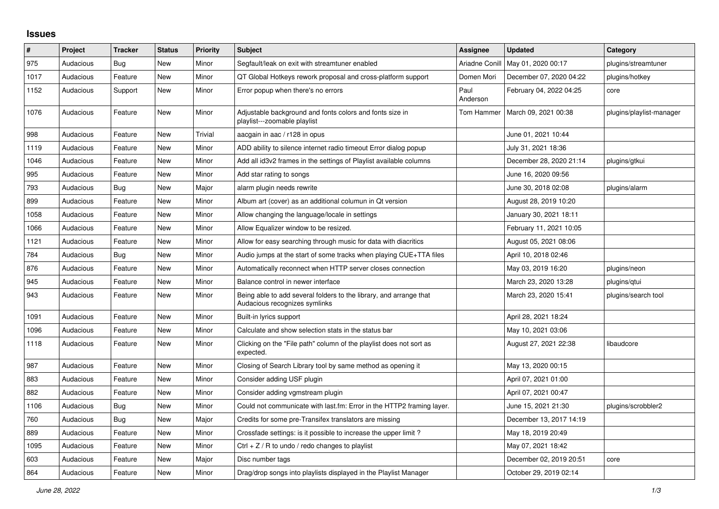## **Issues**

| $\sharp$ | Project   | <b>Tracker</b> | <b>Status</b> | <b>Priority</b> | <b>Subject</b>                                                                                      | <b>Assignee</b>  | <b>Updated</b>          | Category                 |
|----------|-----------|----------------|---------------|-----------------|-----------------------------------------------------------------------------------------------------|------------------|-------------------------|--------------------------|
| 975      | Audacious | Bug            | New           | Minor           | Segfault/leak on exit with streamtuner enabled                                                      | Ariadne Conill   | May 01, 2020 00:17      | plugins/streamtuner      |
| 1017     | Audacious | Feature        | New           | Minor           | QT Global Hotkeys rework proposal and cross-platform support                                        | Domen Mori       | December 07, 2020 04:22 | plugins/hotkey           |
| 1152     | Audacious | Support        | <b>New</b>    | Minor           | Error popup when there's no errors                                                                  | Paul<br>Anderson | February 04, 2022 04:25 | core                     |
| 1076     | Audacious | Feature        | <b>New</b>    | Minor           | Adjustable background and fonts colors and fonts size in<br>playlist---zoomable playlist            | Tom Hammer       | March 09, 2021 00:38    | plugins/playlist-manager |
| 998      | Audacious | Feature        | <b>New</b>    | Trivial         | aacgain in aac / r128 in opus                                                                       |                  | June 01, 2021 10:44     |                          |
| 1119     | Audacious | Feature        | New           | Minor           | ADD ability to silence internet radio timeout Error dialog popup                                    |                  | July 31, 2021 18:36     |                          |
| 1046     | Audacious | Feature        | New           | Minor           | Add all id3v2 frames in the settings of Playlist available columns                                  |                  | December 28, 2020 21:14 | plugins/gtkui            |
| 995      | Audacious | Feature        | <b>New</b>    | Minor           | Add star rating to songs                                                                            |                  | June 16, 2020 09:56     |                          |
| 793      | Audacious | <b>Bug</b>     | <b>New</b>    | Major           | alarm plugin needs rewrite                                                                          |                  | June 30, 2018 02:08     | plugins/alarm            |
| 899      | Audacious | Feature        | New           | Minor           | Album art (cover) as an additional columun in Qt version                                            |                  | August 28, 2019 10:20   |                          |
| 1058     | Audacious | Feature        | New           | Minor           | Allow changing the language/locale in settings                                                      |                  | January 30, 2021 18:11  |                          |
| 1066     | Audacious | Feature        | <b>New</b>    | Minor           | Allow Equalizer window to be resized.                                                               |                  | February 11, 2021 10:05 |                          |
| 1121     | Audacious | Feature        | <b>New</b>    | Minor           | Allow for easy searching through music for data with diacritics                                     |                  | August 05, 2021 08:06   |                          |
| 784      | Audacious | Bug            | New           | Minor           | Audio jumps at the start of some tracks when playing CUE+TTA files                                  |                  | April 10, 2018 02:46    |                          |
| 876      | Audacious | Feature        | New           | Minor           | Automatically reconnect when HTTP server closes connection                                          |                  | May 03, 2019 16:20      | plugins/neon             |
| 945      | Audacious | Feature        | New           | Minor           | Balance control in newer interface                                                                  |                  | March 23, 2020 13:28    | plugins/qtui             |
| 943      | Audacious | Feature        | <b>New</b>    | Minor           | Being able to add several folders to the library, and arrange that<br>Audacious recognizes symlinks |                  | March 23, 2020 15:41    | plugins/search tool      |
| 1091     | Audacious | Feature        | New           | Minor           | Built-in lyrics support                                                                             |                  | April 28, 2021 18:24    |                          |
| 1096     | Audacious | Feature        | New           | Minor           | Calculate and show selection stats in the status bar                                                |                  | May 10, 2021 03:06      |                          |
| 1118     | Audacious | Feature        | New           | Minor           | Clicking on the "File path" column of the playlist does not sort as<br>expected.                    |                  | August 27, 2021 22:38   | libaudcore               |
| 987      | Audacious | Feature        | <b>New</b>    | Minor           | Closing of Search Library tool by same method as opening it                                         |                  | May 13, 2020 00:15      |                          |
| 883      | Audacious | Feature        | <b>New</b>    | Minor           | Consider adding USF plugin                                                                          |                  | April 07, 2021 01:00    |                          |
| 882      | Audacious | Feature        | New           | Minor           | Consider adding vgmstream plugin                                                                    |                  | April 07, 2021 00:47    |                          |
| 1106     | Audacious | <b>Bug</b>     | New           | Minor           | Could not communicate with last.fm: Error in the HTTP2 framing layer.                               |                  | June 15, 2021 21:30     | plugins/scrobbler2       |
| 760      | Audacious | Bug            | New           | Major           | Credits for some pre-Transifex translators are missing                                              |                  | December 13, 2017 14:19 |                          |
| 889      | Audacious | Feature        | New           | Minor           | Crossfade settings: is it possible to increase the upper limit?                                     |                  | May 18, 2019 20:49      |                          |
| 1095     | Audacious | Feature        | <b>New</b>    | Minor           | Ctrl $+$ Z / R to undo / redo changes to playlist                                                   |                  | May 07, 2021 18:42      |                          |
| 603      | Audacious | Feature        | <b>New</b>    | Major           | Disc number tags                                                                                    |                  | December 02, 2019 20:51 | core                     |
| 864      | Audacious | Feature        | New           | Minor           | Drag/drop songs into playlists displayed in the Playlist Manager                                    |                  | October 29, 2019 02:14  |                          |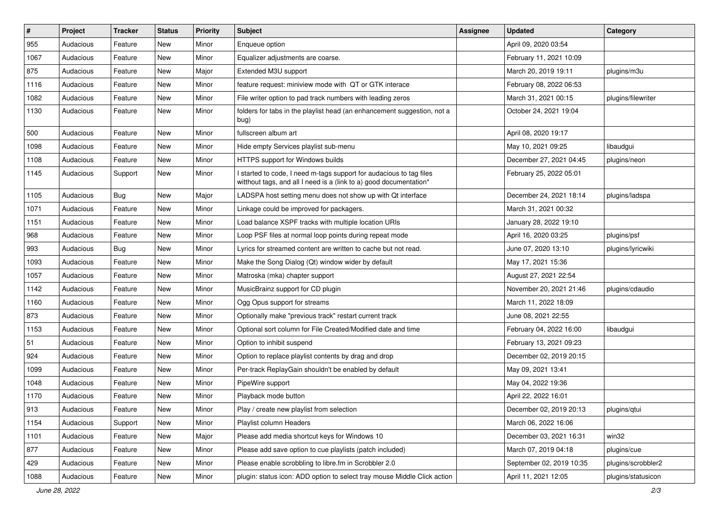| $\#$ | Project   | <b>Tracker</b> | <b>Status</b> | <b>Priority</b> | Subject                                                                                                                                   | <b>Assignee</b> | <b>Updated</b>           | Category           |
|------|-----------|----------------|---------------|-----------------|-------------------------------------------------------------------------------------------------------------------------------------------|-----------------|--------------------------|--------------------|
| 955  | Audacious | Feature        | New           | Minor           | Enqueue option                                                                                                                            |                 | April 09, 2020 03:54     |                    |
| 1067 | Audacious | Feature        | New           | Minor           | Equalizer adjustments are coarse.                                                                                                         |                 | February 11, 2021 10:09  |                    |
| 875  | Audacious | Feature        | New           | Major           | Extended M3U support                                                                                                                      |                 | March 20, 2019 19:11     | plugins/m3u        |
| 1116 | Audacious | Feature        | New           | Minor           | feature request: miniview mode with QT or GTK interace                                                                                    |                 | February 08, 2022 06:53  |                    |
| 1082 | Audacious | Feature        | New           | Minor           | File writer option to pad track numbers with leading zeros                                                                                |                 | March 31, 2021 00:15     | plugins/filewriter |
| 1130 | Audacious | Feature        | New           | Minor           | folders for tabs in the playlist head (an enhancement suggestion, not a<br>bug)                                                           |                 | October 24, 2021 19:04   |                    |
| 500  | Audacious | Feature        | New           | Minor           | fullscreen album art                                                                                                                      |                 | April 08, 2020 19:17     |                    |
| 1098 | Audacious | Feature        | New           | Minor           | Hide empty Services playlist sub-menu                                                                                                     |                 | May 10, 2021 09:25       | libaudgui          |
| 1108 | Audacious | Feature        | New           | Minor           | HTTPS support for Windows builds                                                                                                          |                 | December 27, 2021 04:45  | plugins/neon       |
| 1145 | Audacious | Support        | New           | Minor           | I started to code, I need m-tags support for audacious to tag files<br>witthout tags, and all I need is a (link to a) good documentation* |                 | February 25, 2022 05:01  |                    |
| 1105 | Audacious | <b>Bug</b>     | New           | Major           | LADSPA host setting menu does not show up with Qt interface                                                                               |                 | December 24, 2021 18:14  | plugins/ladspa     |
| 1071 | Audacious | Feature        | New           | Minor           | Linkage could be improved for packagers.                                                                                                  |                 | March 31, 2021 00:32     |                    |
| 1151 | Audacious | Feature        | New           | Minor           | Load balance XSPF tracks with multiple location URIs                                                                                      |                 | January 28, 2022 19:10   |                    |
| 968  | Audacious | Feature        | New           | Minor           | Loop PSF files at normal loop points during repeat mode                                                                                   |                 | April 16, 2020 03:25     | plugins/psf        |
| 993  | Audacious | <b>Bug</b>     | New           | Minor           | Lyrics for streamed content are written to cache but not read.                                                                            |                 | June 07, 2020 13:10      | plugins/lyricwiki  |
| 1093 | Audacious | Feature        | New           | Minor           | Make the Song Dialog (Qt) window wider by default                                                                                         |                 | May 17, 2021 15:36       |                    |
| 1057 | Audacious | Feature        | New           | Minor           | Matroska (mka) chapter support                                                                                                            |                 | August 27, 2021 22:54    |                    |
| 1142 | Audacious | Feature        | New           | Minor           | MusicBrainz support for CD plugin                                                                                                         |                 | November 20, 2021 21:46  | plugins/cdaudio    |
| 1160 | Audacious | Feature        | New           | Minor           | Ogg Opus support for streams                                                                                                              |                 | March 11, 2022 18:09     |                    |
| 873  | Audacious | Feature        | New           | Minor           | Optionally make "previous track" restart current track                                                                                    |                 | June 08, 2021 22:55      |                    |
| 1153 | Audacious | Feature        | New           | Minor           | Optional sort column for File Created/Modified date and time                                                                              |                 | February 04, 2022 16:00  | libaudgui          |
| 51   | Audacious | Feature        | New           | Minor           | Option to inhibit suspend                                                                                                                 |                 | February 13, 2021 09:23  |                    |
| 924  | Audacious | Feature        | New           | Minor           | Option to replace playlist contents by drag and drop                                                                                      |                 | December 02, 2019 20:15  |                    |
| 1099 | Audacious | Feature        | New           | Minor           | Per-track ReplayGain shouldn't be enabled by default                                                                                      |                 | May 09, 2021 13:41       |                    |
| 1048 | Audacious | Feature        | New           | Minor           | PipeWire support                                                                                                                          |                 | May 04, 2022 19:36       |                    |
| 1170 | Audacious | Feature        | New           | Minor           | Playback mode button                                                                                                                      |                 | April 22, 2022 16:01     |                    |
| 913  | Audacious | Feature        | New           | Minor           | Play / create new playlist from selection                                                                                                 |                 | December 02, 2019 20:13  | plugins/qtui       |
| 1154 | Audacious | Support        | New           | Minor           | Playlist column Headers                                                                                                                   |                 | March 06, 2022 16:06     |                    |
| 1101 | Audacious | Feature        | New           | Major           | Please add media shortcut keys for Windows 10                                                                                             |                 | December 03, 2021 16:31  | win32              |
| 877  | Audacious | Feature        | New           | Minor           | Please add save option to cue playlists (patch included)                                                                                  |                 | March 07, 2019 04:18     | plugins/cue        |
| 429  | Audacious | Feature        | New           | Minor           | Please enable scrobbling to libre.fm in Scrobbler 2.0                                                                                     |                 | September 02, 2019 10:35 | plugins/scrobbler2 |
| 1088 | Audacious | Feature        | New           | Minor           | plugin: status icon: ADD option to select tray mouse Middle Click action                                                                  |                 | April 11, 2021 12:05     | plugins/statusicon |